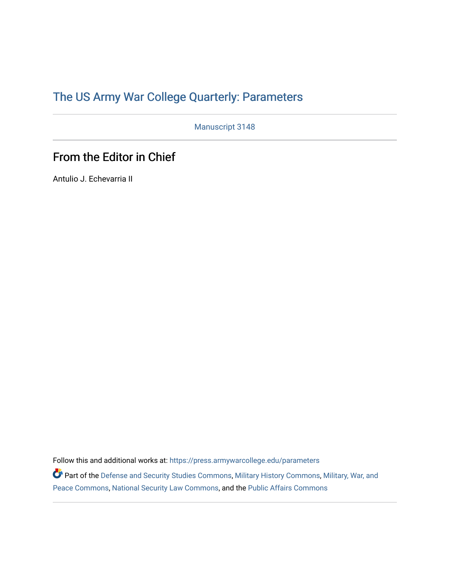## [The US Army War College Quarterly: Parameters](https://press.armywarcollege.edu/parameters)

Manuscript 3148

## From the Editor in Chief

Antulio J. Echevarria II

Follow this and additional works at: [https://press.armywarcollege.edu/parameters](https://press.armywarcollege.edu/parameters?utm_source=press.armywarcollege.edu%2Fparameters%2Fvol52%2Fiss2%2F7&utm_medium=PDF&utm_campaign=PDFCoverPages) 

Part of the [Defense and Security Studies Commons](https://network.bepress.com/hgg/discipline/394?utm_source=press.armywarcollege.edu%2Fparameters%2Fvol52%2Fiss2%2F7&utm_medium=PDF&utm_campaign=PDFCoverPages), [Military History Commons,](https://network.bepress.com/hgg/discipline/504?utm_source=press.armywarcollege.edu%2Fparameters%2Fvol52%2Fiss2%2F7&utm_medium=PDF&utm_campaign=PDFCoverPages) [Military, War, and](https://network.bepress.com/hgg/discipline/861?utm_source=press.armywarcollege.edu%2Fparameters%2Fvol52%2Fiss2%2F7&utm_medium=PDF&utm_campaign=PDFCoverPages)  [Peace Commons](https://network.bepress.com/hgg/discipline/861?utm_source=press.armywarcollege.edu%2Fparameters%2Fvol52%2Fiss2%2F7&utm_medium=PDF&utm_campaign=PDFCoverPages), [National Security Law Commons,](https://network.bepress.com/hgg/discipline/1114?utm_source=press.armywarcollege.edu%2Fparameters%2Fvol52%2Fiss2%2F7&utm_medium=PDF&utm_campaign=PDFCoverPages) and the [Public Affairs Commons](https://network.bepress.com/hgg/discipline/399?utm_source=press.armywarcollege.edu%2Fparameters%2Fvol52%2Fiss2%2F7&utm_medium=PDF&utm_campaign=PDFCoverPages)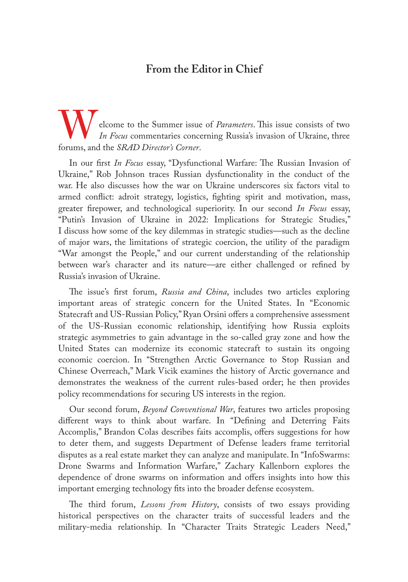## **From the Editor in Chief**

elcome to the Summer issue of *Parameters*. This issue consists of two *In Focus* commentaries concerning Russia's invasion of Ukraine, three forums, and the *SRAD Director's Corner*.

In our first *In Focus* essay, "Dysfunctional Warfare: The Russian Invasion of Ukraine," Rob Johnson traces Russian dysfunctionality in the conduct of the war. He also discusses how the war on Ukraine underscores six factors vital to armed conflict: adroit strategy, logistics, fighting spirit and motivation, mass, greater firepower, and technological superiority. In our second *In Focus* essay, "Putin's Invasion of Ukraine in 2022: Implications for Strategic Studies," I discuss how some of the key dilemmas in strategic studies—such as the decline of major wars, the limitations of strategic coercion, the utility of the paradigm "War amongst the People," and our current understanding of the relationship between war's character and its nature—are either challenged or refined by Russia's invasion of Ukraine.

The issue's first forum, *Russia and China*, includes two articles exploring important areas of strategic concern for the United States. In "Economic Statecraft and US-Russian Policy," Ryan Orsini offers a comprehensive assessment of the US-Russian economic relationship, identifying how Russia exploits strategic asymmetries to gain advantage in the so-called gray zone and how the United States can modernize its economic statecraft to sustain its ongoing economic coercion. In "Strengthen Arctic Governance to Stop Russian and Chinese Overreach," Mark Vicik examines the history of Arctic governance and demonstrates the weakness of the current rules-based order; he then provides policy recommendations for securing US interests in the region.

Our second forum, *Beyond Conventional War*, features two articles proposing different ways to think about warfare. In "Defining and Deterring Faits Accomplis," Brandon Colas describes faits accomplis, offers suggestions for how to deter them, and suggests Department of Defense leaders frame territorial disputes as a real estate market they can analyze and manipulate. In "InfoSwarms: Drone Swarms and Information Warfare," Zachary Kallenborn explores the dependence of drone swarms on information and offers insights into how this important emerging technology fits into the broader defense ecosystem.

The third forum, *Lessons from History*, consists of two essays providing historical perspectives on the character traits of successful leaders and the military-media relationship. In "Character Traits Strategic Leaders Need,"